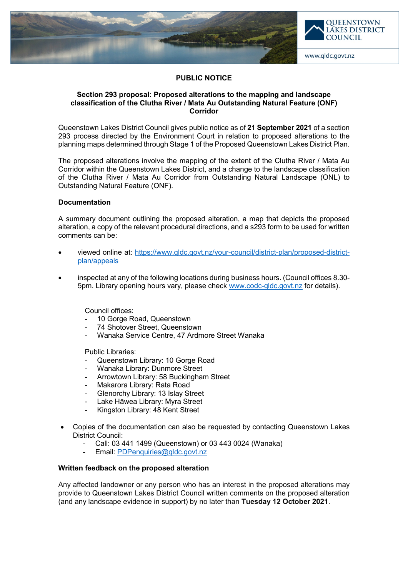

## **PUBLIC NOTICE**

### **Section 293 proposal: Proposed alterations to the mapping and landscape classification of the Clutha River / Mata Au Outstanding Natural Feature (ONF) Corridor**

Queenstown Lakes District Council gives public notice as of **21 September 2021** of a section 293 process directed by the Environment Court in relation to proposed alterations to the planning maps determined through Stage 1 of the Proposed Queenstown Lakes District Plan.

The proposed alterations involve the mapping of the extent of the Clutha River / Mata Au Corridor within the Queenstown Lakes District, and a change to the landscape classification of the Clutha River / Mata Au Corridor from Outstanding Natural Landscape (ONL) to Outstanding Natural Feature (ONF).

# **Documentation**

A summary document outlining the proposed alteration, a map that depicts the proposed alteration, a copy of the relevant procedural directions, and a s293 form to be used for written comments can be:

- viewed online at: [https://www.qldc.govt.nz/your-council/district-plan/proposed-district](https://www.qldc.govt.nz/your-council/district-plan/proposed-district-plan/appeals)[plan/appeals](https://www.qldc.govt.nz/your-council/district-plan/proposed-district-plan/appeals)
- inspected at any of the following locations during business hours. (Council offices 8.30- 5pm. Library opening hours vary, please check [www.codc-qldc.govt.nz](https://codc-qldc.govt.nz/) for details).

Council offices:

- 10 Gorge Road, Queenstown
- 74 Shotover Street, Queenstown
- Wanaka Service Centre, 47 Ardmore Street Wanaka

Public Libraries:

- Queenstown Library: 10 Gorge Road
- Wanaka Library: Dunmore Street
- Arrowtown Library: 58 Buckingham Street
- Makarora Library: Rata Road
- Glenorchy Library: 13 Islay Street
- Lake Hāwea Library: Myra Street
- Kingston Library: 48 Kent Street
- Copies of the documentation can also be requested by contacting Queenstown Lakes District Council:
	- Call: 03 441 1499 (Queenstown) or 03 443 0024 (Wanaka)
	- Email: [PDPenquiries@qldc.govt.nz](mailto:PDPenquiries@qldc.govt.nz)

## **Written feedback on the proposed alteration**

Any affected landowner or any person who has an interest in the proposed alterations may provide to Queenstown Lakes District Council written comments on the proposed alteration (and any landscape evidence in support) by no later than **Tuesday 12 October 2021**.